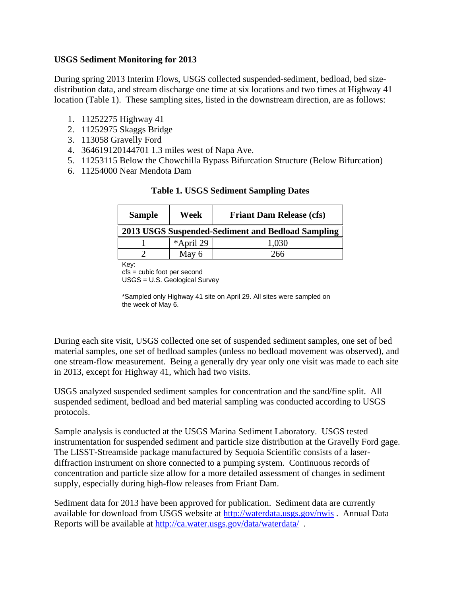## **USGS Sediment Monitoring for 2013**

During spring 2013 Interim Flows, USGS collected suspended-sediment, bedload, bed sizedistribution data, and stream discharge one time at six locations and two times at Highway 41 location (Table 1). These sampling sites, listed in the downstream direction, are as follows:

- 1. 11252275 Highway 41
- 2. 11252975 Skaggs Bridge
- 3. 113058 Gravelly Ford
- 4. 364619120144701 1.3 miles west of Napa Ave.
- 5. 11253115 Below the Chowchilla Bypass Bifurcation Structure (Below Bifurcation)
- 6. 11254000 Near Mendota Dam

|                                                   |           | <b>Friant Dam Release (cfs)</b> |
|---------------------------------------------------|-----------|---------------------------------|
| 2013 USGS Suspended-Sediment and Bedload Sampling |           |                                 |
|                                                   | *April 29 | 1,030                           |
|                                                   | May 6     | 266                             |

## **Table 1. USGS Sediment Sampling Dates**

Key:

cfs = cubic foot per second USGS = U.S. Geological Survey

\*Sampled only Highway 41 site on April 29. All sites were sampled on the week of May 6.

During each site visit, USGS collected one set of suspended sediment samples, one set of bed material samples, one set of bedload samples (unless no bedload movement was observed), and one stream-flow measurement. Being a generally dry year only one visit was made to each site in 2013, except for Highway 41, which had two visits.

USGS analyzed suspended sediment samples for concentration and the sand/fine split. All suspended sediment, bedload and bed material sampling was conducted according to USGS protocols.

Sample analysis is conducted at the USGS Marina Sediment Laboratory. USGS tested instrumentation for suspended sediment and particle size distribution at the Gravelly Ford gage. The LISST-Streamside package manufactured by Sequoia Scientific consists of a laserdiffraction instrument on shore connected to a pumping system. Continuous records of concentration and particle size allow for a more detailed assessment of changes in sediment supply, especially during high-flow releases from Friant Dam.

Sediment data for 2013 have been approved for publication. Sediment data are currently available for download from USGS website at <http://waterdata.usgs.gov/nwis> . Annual Data Reports will be available at<http://ca.water.usgs.gov/data/waterdata/>.